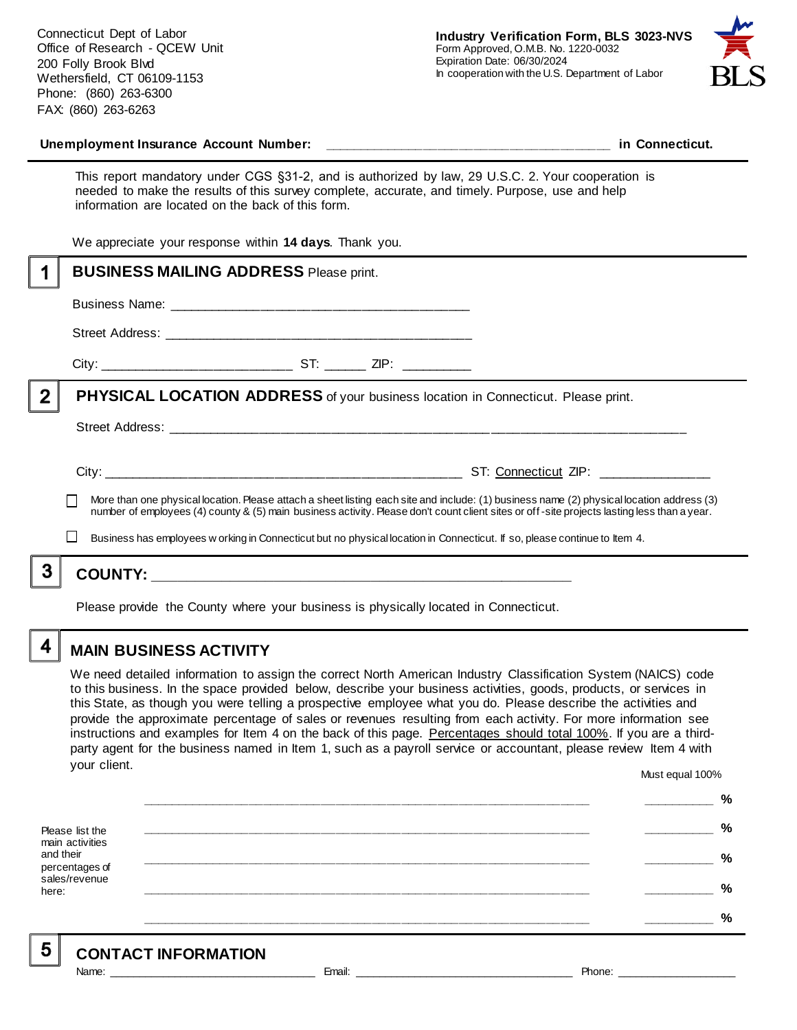Connecticut Dept of Labor Office of Research - QCEW Unit 200 Folly Brook Blvd Wethersfield, CT 06109-1153 Phone: (860) 263-6300 FAX: (860) 263-6263



#### Unemployment Insurance Account Number: **with a set of the set of the set of the set of the set of the set of the set of the set of the set of the set of the set of the set of the set of the set of the set of the set of the**

This report mandatory under CGS §31-2, and is authorized by law, 29 U.S.C. 2. Your cooperation is needed to make the results of this survey complete, accurate, and timely. Purpose, use and help information are located on the back of this form.

We appreciate your response within **14 days**. Thank you.

|                | <b>BUSINESS MAILING ADDRESS Please print.</b>                                                                                                                                                                                                                                            |                                  |  |
|----------------|------------------------------------------------------------------------------------------------------------------------------------------------------------------------------------------------------------------------------------------------------------------------------------------|----------------------------------|--|
|                |                                                                                                                                                                                                                                                                                          |                                  |  |
|                |                                                                                                                                                                                                                                                                                          |                                  |  |
|                |                                                                                                                                                                                                                                                                                          |                                  |  |
| $\overline{2}$ | <b>PHYSICAL LOCATION ADDRESS</b> of your business location in Connecticut. Please print.                                                                                                                                                                                                 |                                  |  |
|                |                                                                                                                                                                                                                                                                                          |                                  |  |
|                |                                                                                                                                                                                                                                                                                          | ST: Connecticut ZIP: ___________ |  |
|                | More than one physical location. Please attach a sheet listing each site and include: (1) business name (2) physical location address (3)<br>number of employees (4) county & (5) main business activity. Please don't count client sites or off-site projects lasting less than a year. |                                  |  |
|                | Business has employees w orking in Connecticut but no physical location in Connecticut. If so, please continue to Item 4.                                                                                                                                                                |                                  |  |
|                |                                                                                                                                                                                                                                                                                          |                                  |  |
|                |                                                                                                                                                                                                                                                                                          |                                  |  |

Please provide the County where your business is physically located in Connecticut.

4

### **MAIN BUSINESS ACTIVITY**

We need detailed information to assign the correct North American Industry Classification System (NAICS) code to this business. In the space provided below, describe your business activities, goods, products, or services in this State, as though you were telling a prospective employee what you do. Please describe the activities and provide the approximate percentage of sales or revenues resulting from each activity. For more information see instructions and examples for Item 4 on the back of this page. Percentages should total 100%. If you are a thirdparty agent for the business named in Item 1, such as a payroll service or accountant, please review Item 4 with your client. Must equal 100%

Please list the main activities and their percentages of sales/revenue here: **\_\_\_\_\_\_\_\_\_\_\_\_\_\_\_\_\_\_\_\_\_\_\_\_\_\_\_\_\_\_\_\_\_\_\_\_\_\_\_\_\_\_\_\_\_\_\_\_\_\_\_\_\_\_\_\_\_\_\_\_\_\_ \_\_\_\_\_\_\_\_\_\_ % \_\_\_\_\_\_\_\_\_\_\_\_\_\_\_\_\_\_\_\_\_\_\_\_\_\_\_\_\_\_\_\_\_\_\_\_\_\_\_\_\_\_\_\_\_\_\_\_\_\_\_\_\_\_\_\_\_\_\_\_\_\_ \_\_\_\_\_\_\_\_\_\_ % \_\_\_\_\_\_\_\_\_\_\_\_\_\_\_\_\_\_\_\_\_\_\_\_\_\_\_\_\_\_\_\_\_\_\_\_\_\_\_\_\_\_\_\_\_\_\_\_\_\_\_\_\_\_\_\_\_\_\_\_\_\_ \_\_\_\_\_\_\_\_\_\_ % \_\_\_\_\_\_\_\_\_\_\_\_\_\_\_\_\_\_\_\_\_\_\_\_\_\_\_\_\_\_\_\_\_\_\_\_\_\_\_\_\_\_\_\_\_\_\_\_\_\_\_\_\_\_\_\_\_\_\_\_\_\_ \_\_\_\_\_\_\_\_\_\_ % \_\_\_\_\_\_\_\_\_\_\_\_\_\_\_\_\_\_\_\_\_\_\_\_\_\_\_\_\_\_\_\_\_\_\_\_\_\_\_\_\_\_\_\_\_\_\_\_\_\_\_\_\_\_\_\_\_\_\_\_\_\_ \_\_\_\_\_\_\_\_\_\_ %**

5